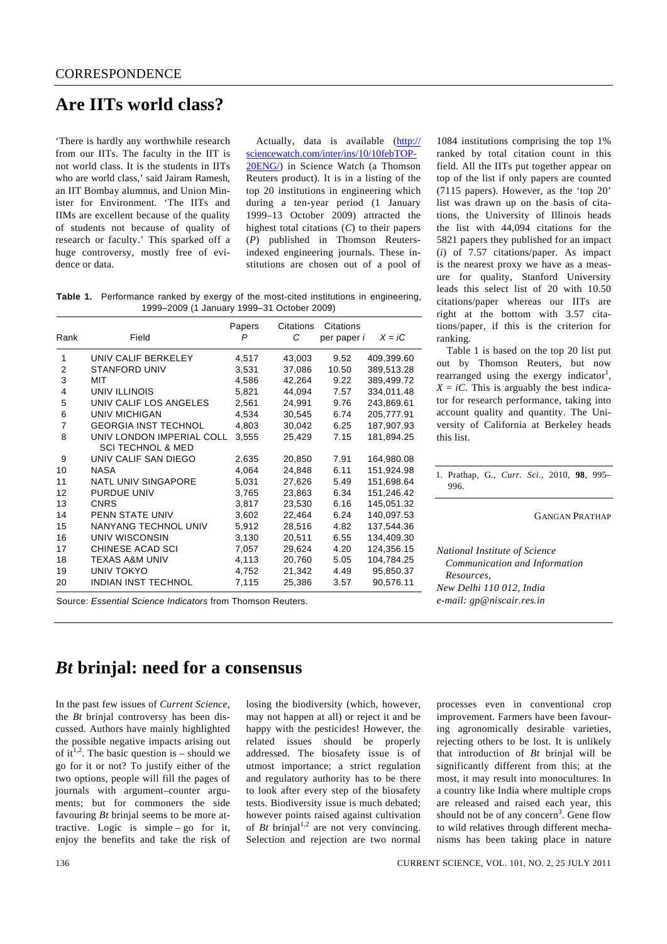## **Are IITs world class?**

'There is hardly any worthwhile research from our IITs. The faculty in the IIT is not world class. It is the students in IITs who are world class,' said Jairam Ramesh, an IIT Bombay alumnus, and Union Minister for Environment. 'The IITs and IIMs are excellent because of the quality of students not because of quality of research or faculty.' This sparked off a huge controversy, mostly free of evidence or data.

 Actually, data is available (http:// sciencewatch.com/inter/ins/10/10febTOP-20ENG/) in Science Watch (a Thomson Reuters product). It is in a listing of the top 20 institutions in engineering which during a ten-year period (1 January 1999–13 October 2009) attracted the highest total citations (*C*) to their papers (*P*) published in Thomson Reutersindexed engineering journals. These institutions are chosen out of a pool of

**Table 1.** Performance ranked by exergy of the most-cited institutions in engineering, 1999–2009 (1 January 1999–31 October 2009)

| Rank                    | Field                                                     | Papers<br>P | Citations<br>C | Citations<br>per paper <i>i</i> | $X = iC$   |
|-------------------------|-----------------------------------------------------------|-------------|----------------|---------------------------------|------------|
| 1                       | UNIV CALIF BERKELEY                                       | 4,517       | 43,003         | 9.52                            | 409,399.60 |
| $\overline{2}$          | <b>STANFORD UNIV</b>                                      | 3,531       | 37,086         | 10.50                           | 389,513.28 |
| 3                       | MIT                                                       | 4,586       | 42,264         | 9.22                            | 389,499.72 |
| $\overline{\mathbf{4}}$ | UNIV ILLINOIS                                             | 5,821       | 44,094         | 7.57                            | 334,011.48 |
| 5                       | UNIV CALIF LOS ANGELES                                    | 2.561       | 24.991         | 9.76                            | 243.869.61 |
| 6                       | UNIV MICHIGAN                                             | 4,534       | 30,545         | 6.74                            | 205,777.91 |
| $\overline{7}$          | <b>GEORGIA INST TECHNOL</b>                               | 4,803       | 30,042         | 6.25                            | 187,907.93 |
| 8                       | UNIV LONDON IMPERIAL COLL<br><b>SCI TECHNOL &amp; MED</b> | 3,555       | 25,429         | 7.15                            | 181,894.25 |
| 9                       | UNIV CALIF SAN DIEGO                                      | 2,635       | 20,850         | 7.91                            | 164,980.08 |
| 10                      | <b>NASA</b>                                               | 4,064       | 24,848         | 6.11                            | 151,924.98 |
| 11                      | <b>NATL UNIV SINGAPORE</b>                                | 5,031       | 27,626         | 5.49                            | 151,698.64 |
| 12                      | <b>PURDUE UNIV</b>                                        | 3,765       | 23,863         | 6.34                            | 151,246.42 |
| 13                      | <b>CNRS</b>                                               | 3,817       | 23,530         | 6.16                            | 145,051.32 |
| 14                      | PENN STATE UNIV                                           | 3,602       | 22,464         | 6.24                            | 140,097.53 |
| 15                      | <b>NANYANG TECHNOL UNIV</b>                               | 5,912       | 28,516         | 4.82                            | 137,544.36 |
| 16                      | UNIV WISCONSIN                                            | 3,130       | 20.511         | 6.55                            | 134,409.30 |
| 17                      | CHINESE ACAD SCI                                          | 7,057       | 29,624         | 4.20                            | 124,356.15 |
| 18                      | TEXAS A&M UNIV                                            | 4,113       | 20,760         | 5.05                            | 104,784.25 |
| 19                      | UNIV TOKYO                                                | 4,752       | 21,342         | 4.49                            | 95,850.37  |
| 20                      | <b>INDIAN INST TECHNOL</b>                                | 7,115       | 25,386         | 3.57                            | 90,576.11  |

Source: *Essential Science Indicators* from Thomson Reuters.

1084 institutions comprising the top 1% ranked by total citation count in this field. All the IITs put together appear on top of the list if only papers are counted (7115 papers). However, as the 'top 20' list was drawn up on the basis of citations, the University of Illinois heads the list with 44,094 citations for the 5821 papers they published for an impact (*i*) of 7.57 citations/paper. As impact is the nearest proxy we have as a measure for quality, Stanford University leads this select list of 20 with 10.50 citations/paper whereas our IITs are right at the bottom with 3.57 citations/paper, if this is the criterion for ranking.

 Table 1 is based on the top 20 list put out by Thomson Reuters, but now rearranged using the exergy indicator<sup>1</sup>,  $X = iC$ . This is arguably the best indicator for research performance, taking into account quality and quantity. The University of California at Berkeley heads this list.

1. Prathap, G., *Curr. Sci*., 2010, **98**, 995– 996.

GANGAN PRATHAP

*National Institute of Science Communication and Information Resources, New Delhi 110 012, India e-mail: gp@niscair.res.in* 

## *Bt* **brinjal: need for a consensus**

In the past few issues of *Current Science*, the *Bt* brinjal controversy has been discussed. Authors have mainly highlighted the possible negative impacts arising out of it<sup>1,2</sup>. The basic question is – should we go for it or not? To justify either of the two options, people will fill the pages of journals with argument–counter arguments; but for commoners the side favouring *Bt* brinjal seems to be more attractive. Logic is simple – go for it, enjoy the benefits and take the risk of

losing the biodiversity (which, however, may not happen at all) or reject it and be happy with the pesticides! However, the related issues should be properly addressed. The biosafety issue is of utmost importance; a strict regulation and regulatory authority has to be there to look after every step of the biosafety tests. Biodiversity issue is much debated; however points raised against cultivation of  $B_t$  brinjal<sup>1,2</sup> are not very convincing. Selection and rejection are two normal processes even in conventional crop improvement. Farmers have been favouring agronomically desirable varieties, rejecting others to be lost. It is unlikely that introduction of *Bt* brinjal will be significantly different from this; at the most, it may result into monocultures. In a country like India where multiple crops are released and raised each year, this should not be of any concern<sup>3</sup>. Gene flow to wild relatives through different mechanisms has been taking place in nature